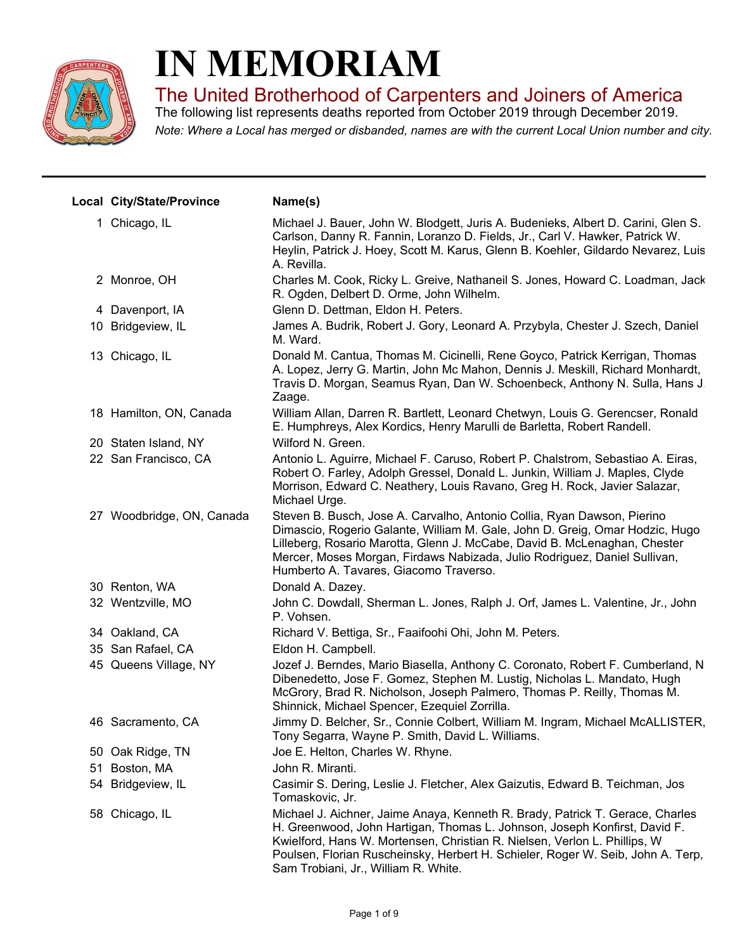

## **IN MEMORIAM**

The United Brotherhood of Carpenters and Joiners of America

*Note: Where a Local has merged or disbanded, names are with the current Local Union number and city.* The following list represents deaths reported from October 2019 through December 2019.

| Local City/State/Province | Name(s)                                                                                                                                                                                                                                                                                                                                                             |
|---------------------------|---------------------------------------------------------------------------------------------------------------------------------------------------------------------------------------------------------------------------------------------------------------------------------------------------------------------------------------------------------------------|
| 1 Chicago, IL             | Michael J. Bauer, John W. Blodgett, Juris A. Budenieks, Albert D. Carini, Glen S.<br>Carlson, Danny R. Fannin, Loranzo D. Fields, Jr., Carl V. Hawker, Patrick W.<br>Heylin, Patrick J. Hoey, Scott M. Karus, Glenn B. Koehler, Gildardo Nevarez, Luis<br>A. Revilla.                                                                                               |
| 2 Monroe, OH              | Charles M. Cook, Ricky L. Greive, Nathaneil S. Jones, Howard C. Loadman, Jack<br>R. Ogden, Delbert D. Orme, John Wilhelm.                                                                                                                                                                                                                                           |
| 4 Davenport, IA           | Glenn D. Dettman, Eldon H. Peters.                                                                                                                                                                                                                                                                                                                                  |
| 10 Bridgeview, IL         | James A. Budrik, Robert J. Gory, Leonard A. Przybyla, Chester J. Szech, Daniel<br>M. Ward.                                                                                                                                                                                                                                                                          |
| 13 Chicago, IL            | Donald M. Cantua, Thomas M. Cicinelli, Rene Goyco, Patrick Kerrigan, Thomas<br>A. Lopez, Jerry G. Martin, John Mc Mahon, Dennis J. Meskill, Richard Monhardt,<br>Travis D. Morgan, Seamus Ryan, Dan W. Schoenbeck, Anthony N. Sulla, Hans J.<br>Zaage.                                                                                                              |
| 18 Hamilton, ON, Canada   | William Allan, Darren R. Bartlett, Leonard Chetwyn, Louis G. Gerencser, Ronald<br>E. Humphreys, Alex Kordics, Henry Marulli de Barletta, Robert Randell.                                                                                                                                                                                                            |
| 20 Staten Island, NY      | Wilford N. Green.                                                                                                                                                                                                                                                                                                                                                   |
| 22 San Francisco, CA      | Antonio L. Aguirre, Michael F. Caruso, Robert P. Chalstrom, Sebastiao A. Eiras,<br>Robert O. Farley, Adolph Gressel, Donald L. Junkin, William J. Maples, Clyde<br>Morrison, Edward C. Neathery, Louis Ravano, Greg H. Rock, Javier Salazar,<br>Michael Urge.                                                                                                       |
| 27 Woodbridge, ON, Canada | Steven B. Busch, Jose A. Carvalho, Antonio Collia, Ryan Dawson, Pierino<br>Dimascio, Rogerio Galante, William M. Gale, John D. Greig, Omar Hodzic, Hugo<br>Lilleberg, Rosario Marotta, Glenn J. McCabe, David B. McLenaghan, Chester<br>Mercer, Moses Morgan, Firdaws Nabizada, Julio Rodriguez, Daniel Sullivan,<br>Humberto A. Tavares, Giacomo Traverso.         |
| 30 Renton, WA             | Donald A. Dazey.                                                                                                                                                                                                                                                                                                                                                    |
| 32 Wentzville, MO         | John C. Dowdall, Sherman L. Jones, Ralph J. Orf, James L. Valentine, Jr., John<br>P. Vohsen.                                                                                                                                                                                                                                                                        |
| 34 Oakland, CA            | Richard V. Bettiga, Sr., Faaifoohi Ohi, John M. Peters.                                                                                                                                                                                                                                                                                                             |
| 35 San Rafael, CA         | Eldon H. Campbell.                                                                                                                                                                                                                                                                                                                                                  |
| 45 Queens Village, NY     | Jozef J. Berndes, Mario Biasella, Anthony C. Coronato, Robert F. Cumberland, N<br>Dibenedetto, Jose F. Gomez, Stephen M. Lustig, Nicholas L. Mandato, Hugh<br>McGrory, Brad R. Nicholson, Joseph Palmero, Thomas P. Reilly, Thomas M.<br>Shinnick, Michael Spencer, Ezequiel Zorrilla.                                                                              |
| 46 Sacramento, CA         | Jimmy D. Belcher, Sr., Connie Colbert, William M. Ingram, Michael McALLISTER,<br>Tony Segarra, Wayne P. Smith, David L. Williams.                                                                                                                                                                                                                                   |
| 50 Oak Ridge, TN          | Joe E. Helton, Charles W. Rhyne.                                                                                                                                                                                                                                                                                                                                    |
| 51 Boston, MA             | John R. Miranti.                                                                                                                                                                                                                                                                                                                                                    |
| 54 Bridgeview, IL         | Casimir S. Dering, Leslie J. Fletcher, Alex Gaizutis, Edward B. Teichman, Jos<br>Tomaskovic, Jr.                                                                                                                                                                                                                                                                    |
| 58 Chicago, IL            | Michael J. Aichner, Jaime Anaya, Kenneth R. Brady, Patrick T. Gerace, Charles<br>H. Greenwood, John Hartigan, Thomas L. Johnson, Joseph Konfirst, David F.<br>Kwielford, Hans W. Mortensen, Christian R. Nielsen, Verlon L. Phillips, W.<br>Poulsen, Florian Ruscheinsky, Herbert H. Schieler, Roger W. Seib, John A. Terp,<br>Sam Trobiani, Jr., William R. White. |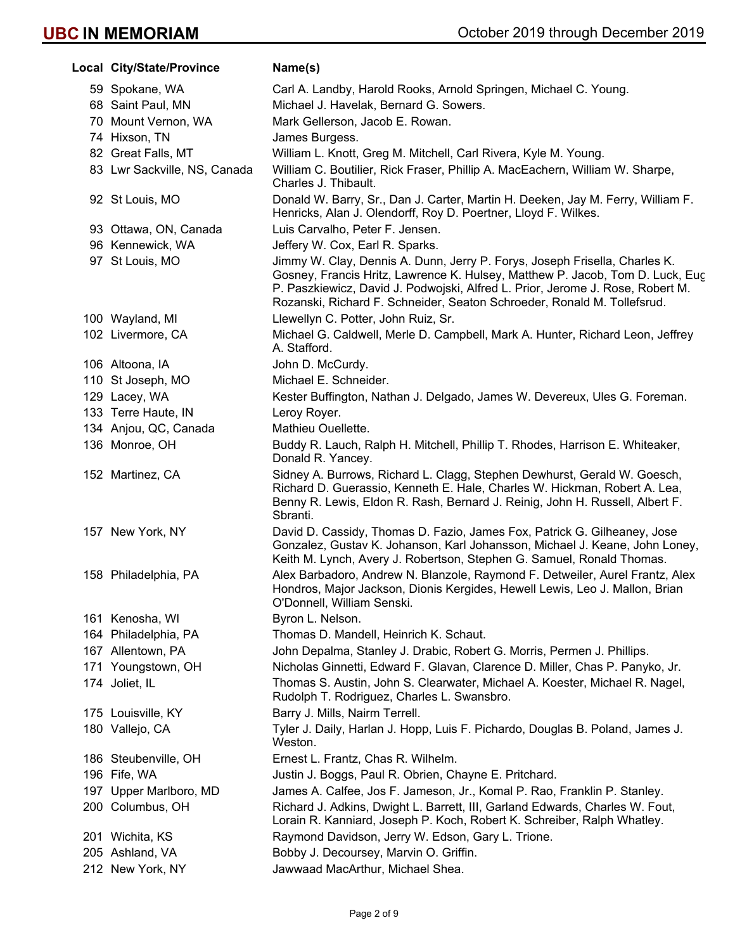| Local City/State/Province    | Name(s)                                                                                                                                                                                                                                                                                                                  |
|------------------------------|--------------------------------------------------------------------------------------------------------------------------------------------------------------------------------------------------------------------------------------------------------------------------------------------------------------------------|
| 59 Spokane, WA               | Carl A. Landby, Harold Rooks, Arnold Springen, Michael C. Young.                                                                                                                                                                                                                                                         |
| 68 Saint Paul, MN            | Michael J. Havelak, Bernard G. Sowers.                                                                                                                                                                                                                                                                                   |
| 70 Mount Vernon, WA          | Mark Gellerson, Jacob E. Rowan.                                                                                                                                                                                                                                                                                          |
| 74 Hixson, TN                | James Burgess.                                                                                                                                                                                                                                                                                                           |
| 82 Great Falls, MT           | William L. Knott, Greg M. Mitchell, Carl Rivera, Kyle M. Young.                                                                                                                                                                                                                                                          |
| 83 Lwr Sackville, NS, Canada | William C. Boutilier, Rick Fraser, Phillip A. MacEachern, William W. Sharpe,<br>Charles J. Thibault.                                                                                                                                                                                                                     |
| 92 St Louis, MO              | Donald W. Barry, Sr., Dan J. Carter, Martin H. Deeken, Jay M. Ferry, William F.<br>Henricks, Alan J. Olendorff, Roy D. Poertner, Lloyd F. Wilkes.                                                                                                                                                                        |
| 93 Ottawa, ON, Canada        | Luis Carvalho, Peter F. Jensen.                                                                                                                                                                                                                                                                                          |
| 96 Kennewick, WA             | Jeffery W. Cox, Earl R. Sparks.                                                                                                                                                                                                                                                                                          |
| 97 St Louis, MO              | Jimmy W. Clay, Dennis A. Dunn, Jerry P. Forys, Joseph Frisella, Charles K.<br>Gosney, Francis Hritz, Lawrence K. Hulsey, Matthew P. Jacob, Tom D. Luck, Eug<br>P. Paszkiewicz, David J. Podwojski, Alfred L. Prior, Jerome J. Rose, Robert M.<br>Rozanski, Richard F. Schneider, Seaton Schroeder, Ronald M. Tollefsrud. |
| 100 Wayland, MI              | Llewellyn C. Potter, John Ruiz, Sr.                                                                                                                                                                                                                                                                                      |
| 102 Livermore, CA            | Michael G. Caldwell, Merle D. Campbell, Mark A. Hunter, Richard Leon, Jeffrey<br>A. Stafford.                                                                                                                                                                                                                            |
| 106 Altoona, IA              | John D. McCurdy.                                                                                                                                                                                                                                                                                                         |
| 110 St Joseph, MO            | Michael E. Schneider.                                                                                                                                                                                                                                                                                                    |
| 129 Lacey, WA                | Kester Buffington, Nathan J. Delgado, James W. Devereux, Ules G. Foreman.                                                                                                                                                                                                                                                |
| 133 Terre Haute, IN          | Leroy Royer.                                                                                                                                                                                                                                                                                                             |
| 134 Anjou, QC, Canada        | Mathieu Ouellette.                                                                                                                                                                                                                                                                                                       |
| 136 Monroe, OH               | Buddy R. Lauch, Ralph H. Mitchell, Phillip T. Rhodes, Harrison E. Whiteaker,<br>Donald R. Yancey.                                                                                                                                                                                                                        |
| 152 Martinez, CA             | Sidney A. Burrows, Richard L. Clagg, Stephen Dewhurst, Gerald W. Goesch,<br>Richard D. Guerassio, Kenneth E. Hale, Charles W. Hickman, Robert A. Lea,<br>Benny R. Lewis, Eldon R. Rash, Bernard J. Reinig, John H. Russell, Albert F.<br>Sbranti.                                                                        |
| 157 New York, NY             | David D. Cassidy, Thomas D. Fazio, James Fox, Patrick G. Gilheaney, Jose<br>Gonzalez, Gustav K. Johanson, Karl Johansson, Michael J. Keane, John Loney,<br>Keith M. Lynch, Avery J. Robertson, Stephen G. Samuel, Ronald Thomas.                                                                                         |
| 158 Philadelphia, PA         | Alex Barbadoro, Andrew N. Blanzole, Raymond F. Detweiler, Aurel Frantz, Alex<br>Hondros, Major Jackson, Dionis Kergides, Hewell Lewis, Leo J. Mallon, Brian<br>O'Donnell, William Senski.                                                                                                                                |
| 161 Kenosha, WI              | Byron L. Nelson.                                                                                                                                                                                                                                                                                                         |
| 164 Philadelphia, PA         | Thomas D. Mandell, Heinrich K. Schaut.                                                                                                                                                                                                                                                                                   |
| 167 Allentown, PA            | John Depalma, Stanley J. Drabic, Robert G. Morris, Permen J. Phillips.                                                                                                                                                                                                                                                   |
| 171 Youngstown, OH           | Nicholas Ginnetti, Edward F. Glavan, Clarence D. Miller, Chas P. Panyko, Jr.                                                                                                                                                                                                                                             |
| 174 Joliet, IL               | Thomas S. Austin, John S. Clearwater, Michael A. Koester, Michael R. Nagel,<br>Rudolph T. Rodriguez, Charles L. Swansbro.                                                                                                                                                                                                |
| 175 Louisville, KY           | Barry J. Mills, Nairm Terrell.                                                                                                                                                                                                                                                                                           |
| 180 Vallejo, CA              | Tyler J. Daily, Harlan J. Hopp, Luis F. Pichardo, Douglas B. Poland, James J.<br>Weston.                                                                                                                                                                                                                                 |
| 186 Steubenville, OH         | Ernest L. Frantz, Chas R. Wilhelm.                                                                                                                                                                                                                                                                                       |
| 196 Fife, WA                 | Justin J. Boggs, Paul R. Obrien, Chayne E. Pritchard.                                                                                                                                                                                                                                                                    |
| 197 Upper Marlboro, MD       | James A. Calfee, Jos F. Jameson, Jr., Komal P. Rao, Franklin P. Stanley.                                                                                                                                                                                                                                                 |
| 200 Columbus, OH             | Richard J. Adkins, Dwight L. Barrett, III, Garland Edwards, Charles W. Fout,<br>Lorain R. Kanniard, Joseph P. Koch, Robert K. Schreiber, Ralph Whatley.                                                                                                                                                                  |
| 201 Wichita, KS              | Raymond Davidson, Jerry W. Edson, Gary L. Trione.                                                                                                                                                                                                                                                                        |
| 205 Ashland, VA              | Bobby J. Decoursey, Marvin O. Griffin.                                                                                                                                                                                                                                                                                   |
| 212 New York, NY             | Jawwaad MacArthur, Michael Shea.                                                                                                                                                                                                                                                                                         |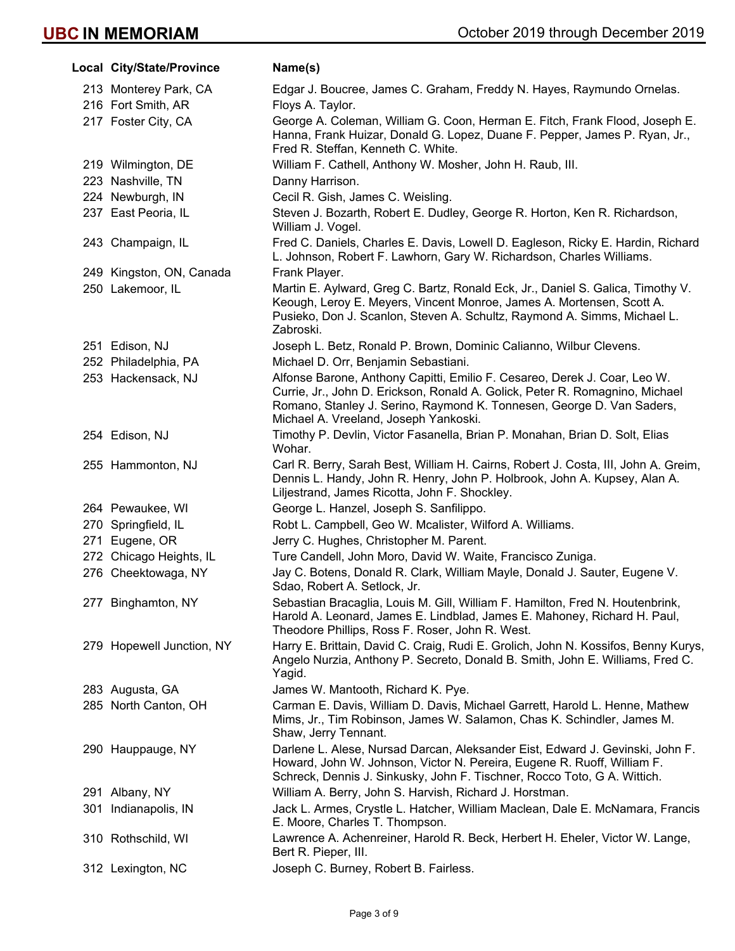| Local City/State/Province              | Name(s)                                                                                                                                                                                                                                                                     |
|----------------------------------------|-----------------------------------------------------------------------------------------------------------------------------------------------------------------------------------------------------------------------------------------------------------------------------|
| 213 Monterey Park, CA                  | Edgar J. Boucree, James C. Graham, Freddy N. Hayes, Raymundo Ornelas.                                                                                                                                                                                                       |
| 216 Fort Smith, AR                     | Floys A. Taylor.                                                                                                                                                                                                                                                            |
| 217 Foster City, CA                    | George A. Coleman, William G. Coon, Herman E. Fitch, Frank Flood, Joseph E.<br>Hanna, Frank Huizar, Donald G. Lopez, Duane F. Pepper, James P. Ryan, Jr.,<br>Fred R. Steffan, Kenneth C. White.                                                                             |
| 219 Wilmington, DE                     | William F. Cathell, Anthony W. Mosher, John H. Raub, III.                                                                                                                                                                                                                   |
| 223 Nashville, TN                      | Danny Harrison.                                                                                                                                                                                                                                                             |
| 224 Newburgh, IN                       | Cecil R. Gish, James C. Weisling.                                                                                                                                                                                                                                           |
| 237 East Peoria, IL                    | Steven J. Bozarth, Robert E. Dudley, George R. Horton, Ken R. Richardson,<br>William J. Vogel.                                                                                                                                                                              |
| 243 Champaign, IL                      | Fred C. Daniels, Charles E. Davis, Lowell D. Eagleson, Ricky E. Hardin, Richard<br>L. Johnson, Robert F. Lawhorn, Gary W. Richardson, Charles Williams.                                                                                                                     |
| 249 Kingston, ON, Canada               | Frank Player.                                                                                                                                                                                                                                                               |
| 250 Lakemoor, IL                       | Martin E. Aylward, Greg C. Bartz, Ronald Eck, Jr., Daniel S. Galica, Timothy V.<br>Keough, Leroy E. Meyers, Vincent Monroe, James A. Mortensen, Scott A.<br>Pusieko, Don J. Scanlon, Steven A. Schultz, Raymond A. Simms, Michael L.<br>Zabroski.                           |
| 251 Edison, NJ<br>252 Philadelphia, PA | Joseph L. Betz, Ronald P. Brown, Dominic Calianno, Wilbur Clevens.<br>Michael D. Orr, Benjamin Sebastiani.                                                                                                                                                                  |
| 253 Hackensack, NJ                     | Alfonse Barone, Anthony Capitti, Emilio F. Cesareo, Derek J. Coar, Leo W.<br>Currie, Jr., John D. Erickson, Ronald A. Golick, Peter R. Romagnino, Michael<br>Romano, Stanley J. Serino, Raymond K. Tonnesen, George D. Van Saders,<br>Michael A. Vreeland, Joseph Yankoski. |
| 254 Edison, NJ                         | Timothy P. Devlin, Victor Fasanella, Brian P. Monahan, Brian D. Solt, Elias<br>Wohar.                                                                                                                                                                                       |
| 255 Hammonton, NJ                      | Carl R. Berry, Sarah Best, William H. Cairns, Robert J. Costa, III, John A. Greim,<br>Dennis L. Handy, John R. Henry, John P. Holbrook, John A. Kupsey, Alan A.<br>Liljestrand, James Ricotta, John F. Shockley.                                                            |
| 264 Pewaukee, WI                       | George L. Hanzel, Joseph S. Sanfilippo.                                                                                                                                                                                                                                     |
| 270 Springfield, IL                    | Robt L. Campbell, Geo W. Mcalister, Wilford A. Williams.                                                                                                                                                                                                                    |
| 271 Eugene, OR                         | Jerry C. Hughes, Christopher M. Parent.                                                                                                                                                                                                                                     |
| 272 Chicago Heights, IL                | Ture Candell, John Moro, David W. Waite, Francisco Zuniga.                                                                                                                                                                                                                  |
| 276 Cheektowaga, NY                    | Jay C. Botens, Donald R. Clark, William Mayle, Donald J. Sauter, Eugene V.<br>Sdao, Robert A. Setlock, Jr.                                                                                                                                                                  |
| 277 Binghamton, NY                     | Sebastian Bracaglia, Louis M. Gill, William F. Hamilton, Fred N. Houtenbrink,<br>Harold A. Leonard, James E. Lindblad, James E. Mahoney, Richard H. Paul,<br>Theodore Phillips, Ross F. Roser, John R. West.                                                                |
| 279 Hopewell Junction, NY              | Harry E. Brittain, David C. Craig, Rudi E. Grolich, John N. Kossifos, Benny Kurys,<br>Angelo Nurzia, Anthony P. Secreto, Donald B. Smith, John E. Williams, Fred C.<br>Yagid.                                                                                               |
| 283 Augusta, GA                        | James W. Mantooth, Richard K. Pye.                                                                                                                                                                                                                                          |
| 285 North Canton, OH                   | Carman E. Davis, William D. Davis, Michael Garrett, Harold L. Henne, Mathew<br>Mims, Jr., Tim Robinson, James W. Salamon, Chas K. Schindler, James M.<br>Shaw, Jerry Tennant.                                                                                               |
| 290 Hauppauge, NY                      | Darlene L. Alese, Nursad Darcan, Aleksander Eist, Edward J. Gevinski, John F.<br>Howard, John W. Johnson, Victor N. Pereira, Eugene R. Ruoff, William F.<br>Schreck, Dennis J. Sinkusky, John F. Tischner, Rocco Toto, G A. Wittich.                                        |
| 291 Albany, NY                         | William A. Berry, John S. Harvish, Richard J. Horstman.                                                                                                                                                                                                                     |
| 301 Indianapolis, IN                   | Jack L. Armes, Crystle L. Hatcher, William Maclean, Dale E. McNamara, Francis<br>E. Moore, Charles T. Thompson.                                                                                                                                                             |
| 310 Rothschild, WI                     | Lawrence A. Achenreiner, Harold R. Beck, Herbert H. Eheler, Victor W. Lange,<br>Bert R. Pieper, III.                                                                                                                                                                        |
| 312 Lexington, NC                      | Joseph C. Burney, Robert B. Fairless.                                                                                                                                                                                                                                       |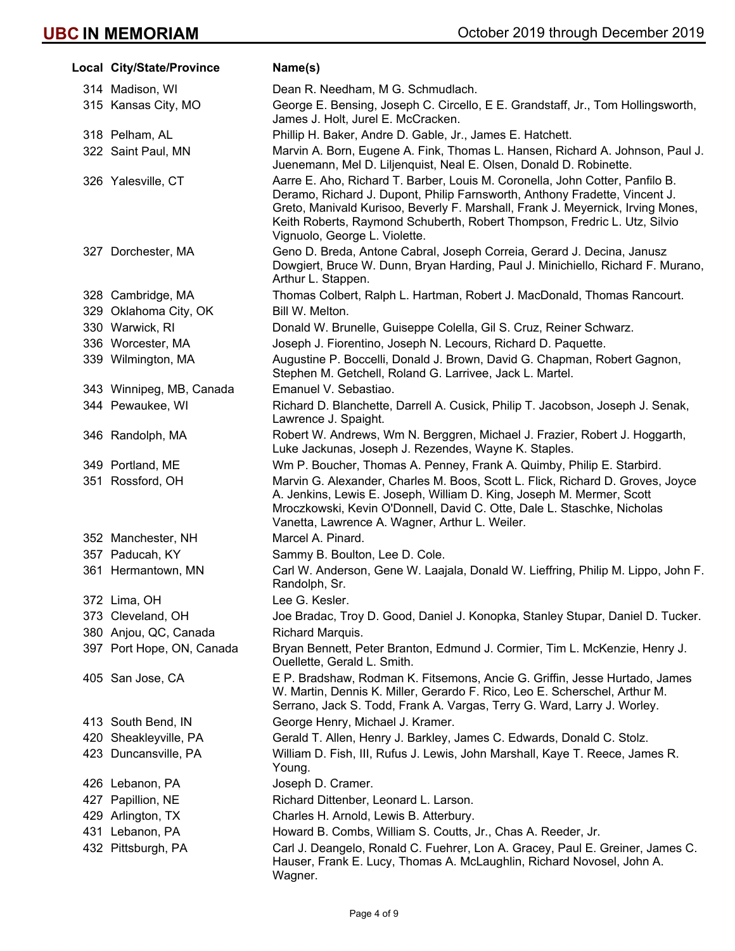| Local City/State/Province | Name(s)                                                                                                                                                                                                                                                                                                                                                     |
|---------------------------|-------------------------------------------------------------------------------------------------------------------------------------------------------------------------------------------------------------------------------------------------------------------------------------------------------------------------------------------------------------|
| 314 Madison, WI           | Dean R. Needham, M G. Schmudlach.                                                                                                                                                                                                                                                                                                                           |
| 315 Kansas City, MO       | George E. Bensing, Joseph C. Circello, E E. Grandstaff, Jr., Tom Hollingsworth,<br>James J. Holt, Jurel E. McCracken.                                                                                                                                                                                                                                       |
| 318 Pelham, AL            | Phillip H. Baker, Andre D. Gable, Jr., James E. Hatchett.                                                                                                                                                                                                                                                                                                   |
| 322 Saint Paul, MN        | Marvin A. Born, Eugene A. Fink, Thomas L. Hansen, Richard A. Johnson, Paul J.<br>Juenemann, Mel D. Liljenquist, Neal E. Olsen, Donald D. Robinette.                                                                                                                                                                                                         |
| 326 Yalesville, CT        | Aarre E. Aho, Richard T. Barber, Louis M. Coronella, John Cotter, Panfilo B.<br>Deramo, Richard J. Dupont, Philip Farnsworth, Anthony Fradette, Vincent J.<br>Greto, Manivald Kurisoo, Beverly F. Marshall, Frank J. Meyernick, Irving Mones,<br>Keith Roberts, Raymond Schuberth, Robert Thompson, Fredric L. Utz, Silvio<br>Vignuolo, George L. Violette. |
| 327 Dorchester, MA        | Geno D. Breda, Antone Cabral, Joseph Correia, Gerard J. Decina, Janusz<br>Dowgiert, Bruce W. Dunn, Bryan Harding, Paul J. Minichiello, Richard F. Murano,<br>Arthur L. Stappen.                                                                                                                                                                             |
| 328 Cambridge, MA         | Thomas Colbert, Ralph L. Hartman, Robert J. MacDonald, Thomas Rancourt.                                                                                                                                                                                                                                                                                     |
| 329 Oklahoma City, OK     | Bill W. Melton.                                                                                                                                                                                                                                                                                                                                             |
| 330 Warwick, RI           | Donald W. Brunelle, Guiseppe Colella, Gil S. Cruz, Reiner Schwarz.                                                                                                                                                                                                                                                                                          |
| 336 Worcester, MA         | Joseph J. Fiorentino, Joseph N. Lecours, Richard D. Paquette.                                                                                                                                                                                                                                                                                               |
| 339 Wilmington, MA        | Augustine P. Boccelli, Donald J. Brown, David G. Chapman, Robert Gagnon,<br>Stephen M. Getchell, Roland G. Larrivee, Jack L. Martel.                                                                                                                                                                                                                        |
| 343 Winnipeg, MB, Canada  | Emanuel V. Sebastiao.                                                                                                                                                                                                                                                                                                                                       |
| 344 Pewaukee, WI          | Richard D. Blanchette, Darrell A. Cusick, Philip T. Jacobson, Joseph J. Senak,<br>Lawrence J. Spaight.                                                                                                                                                                                                                                                      |
| 346 Randolph, MA          | Robert W. Andrews, Wm N. Berggren, Michael J. Frazier, Robert J. Hoggarth,<br>Luke Jackunas, Joseph J. Rezendes, Wayne K. Staples.                                                                                                                                                                                                                          |
| 349 Portland, ME          | Wm P. Boucher, Thomas A. Penney, Frank A. Quimby, Philip E. Starbird.                                                                                                                                                                                                                                                                                       |
| 351 Rossford, OH          | Marvin G. Alexander, Charles M. Boos, Scott L. Flick, Richard D. Groves, Joyce<br>A. Jenkins, Lewis E. Joseph, William D. King, Joseph M. Mermer, Scott<br>Mroczkowski, Kevin O'Donnell, David C. Otte, Dale L. Staschke, Nicholas<br>Vanetta, Lawrence A. Wagner, Arthur L. Weiler.                                                                        |
| 352 Manchester, NH        | Marcel A. Pinard.                                                                                                                                                                                                                                                                                                                                           |
| 357 Paducah, KY           | Sammy B. Boulton, Lee D. Cole.                                                                                                                                                                                                                                                                                                                              |
| 361 Hermantown, MN        | Carl W. Anderson, Gene W. Laajala, Donald W. Lieffring, Philip M. Lippo, John F.<br>Randolph, Sr.                                                                                                                                                                                                                                                           |
| 372 Lima, OH              | Lee G. Kesler.                                                                                                                                                                                                                                                                                                                                              |
| 373 Cleveland, OH         | Joe Bradac, Troy D. Good, Daniel J. Konopka, Stanley Stupar, Daniel D. Tucker.                                                                                                                                                                                                                                                                              |
| 380 Anjou, QC, Canada     | Richard Marquis.                                                                                                                                                                                                                                                                                                                                            |
| 397 Port Hope, ON, Canada | Bryan Bennett, Peter Branton, Edmund J. Cormier, Tim L. McKenzie, Henry J.<br>Ouellette, Gerald L. Smith.                                                                                                                                                                                                                                                   |
| 405 San Jose, CA          | E P. Bradshaw, Rodman K. Fitsemons, Ancie G. Griffin, Jesse Hurtado, James<br>W. Martin, Dennis K. Miller, Gerardo F. Rico, Leo E. Scherschel, Arthur M.<br>Serrano, Jack S. Todd, Frank A. Vargas, Terry G. Ward, Larry J. Worley.                                                                                                                         |
| 413 South Bend, IN        | George Henry, Michael J. Kramer.                                                                                                                                                                                                                                                                                                                            |
| 420 Sheakleyville, PA     | Gerald T. Allen, Henry J. Barkley, James C. Edwards, Donald C. Stolz.                                                                                                                                                                                                                                                                                       |
| 423 Duncansville, PA      | William D. Fish, III, Rufus J. Lewis, John Marshall, Kaye T. Reece, James R.<br>Young.                                                                                                                                                                                                                                                                      |
| 426 Lebanon, PA           | Joseph D. Cramer.                                                                                                                                                                                                                                                                                                                                           |
| 427 Papillion, NE         | Richard Dittenber, Leonard L. Larson.                                                                                                                                                                                                                                                                                                                       |
| 429 Arlington, TX         | Charles H. Arnold, Lewis B. Atterbury.                                                                                                                                                                                                                                                                                                                      |
| 431 Lebanon, PA           | Howard B. Combs, William S. Coutts, Jr., Chas A. Reeder, Jr.                                                                                                                                                                                                                                                                                                |
| 432 Pittsburgh, PA        | Carl J. Deangelo, Ronald C. Fuehrer, Lon A. Gracey, Paul E. Greiner, James C.<br>Hauser, Frank E. Lucy, Thomas A. McLaughlin, Richard Novosel, John A.<br>Wagner.                                                                                                                                                                                           |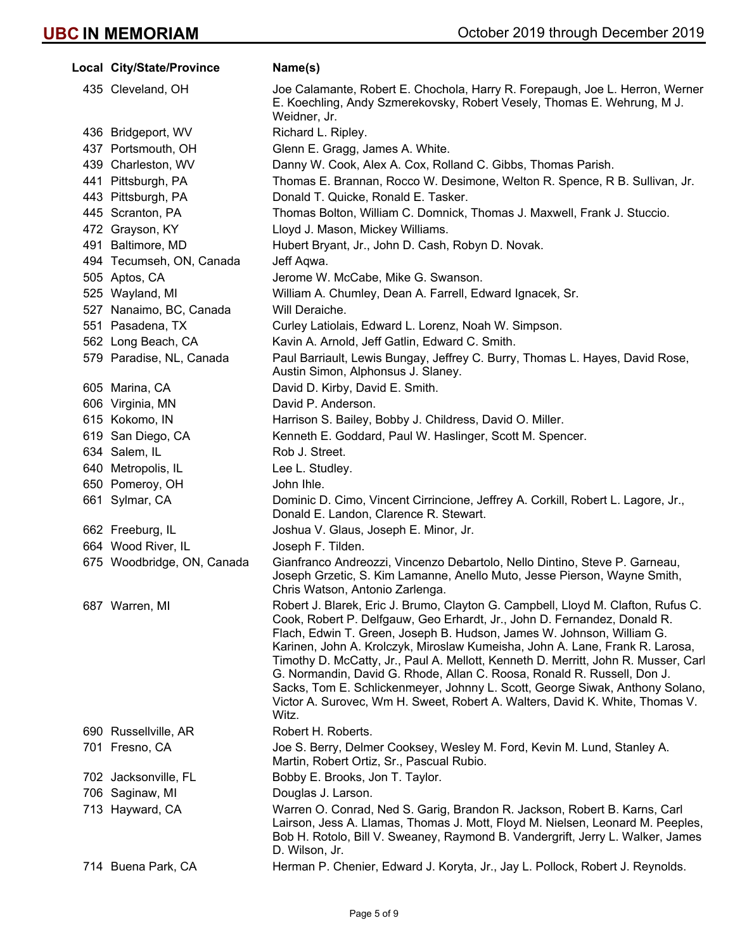| Local City/State/Province  | Name(s)                                                                                                                                                                                                                                                                                                                                                                                                                                                                                                                                                                                                                                                         |
|----------------------------|-----------------------------------------------------------------------------------------------------------------------------------------------------------------------------------------------------------------------------------------------------------------------------------------------------------------------------------------------------------------------------------------------------------------------------------------------------------------------------------------------------------------------------------------------------------------------------------------------------------------------------------------------------------------|
| 435 Cleveland, OH          | Joe Calamante, Robert E. Chochola, Harry R. Forepaugh, Joe L. Herron, Werner<br>E. Koechling, Andy Szmerekovsky, Robert Vesely, Thomas E. Wehrung, M J.<br>Weidner, Jr.                                                                                                                                                                                                                                                                                                                                                                                                                                                                                         |
| 436 Bridgeport, WV         | Richard L. Ripley.                                                                                                                                                                                                                                                                                                                                                                                                                                                                                                                                                                                                                                              |
| 437 Portsmouth, OH         | Glenn E. Gragg, James A. White.                                                                                                                                                                                                                                                                                                                                                                                                                                                                                                                                                                                                                                 |
| 439 Charleston, WV         | Danny W. Cook, Alex A. Cox, Rolland C. Gibbs, Thomas Parish.                                                                                                                                                                                                                                                                                                                                                                                                                                                                                                                                                                                                    |
| 441 Pittsburgh, PA         | Thomas E. Brannan, Rocco W. Desimone, Welton R. Spence, R B. Sullivan, Jr.                                                                                                                                                                                                                                                                                                                                                                                                                                                                                                                                                                                      |
| 443 Pittsburgh, PA         | Donald T. Quicke, Ronald E. Tasker.                                                                                                                                                                                                                                                                                                                                                                                                                                                                                                                                                                                                                             |
| 445 Scranton, PA           | Thomas Bolton, William C. Domnick, Thomas J. Maxwell, Frank J. Stuccio.                                                                                                                                                                                                                                                                                                                                                                                                                                                                                                                                                                                         |
| 472 Grayson, KY            | Lloyd J. Mason, Mickey Williams.                                                                                                                                                                                                                                                                                                                                                                                                                                                                                                                                                                                                                                |
| 491 Baltimore, MD          | Hubert Bryant, Jr., John D. Cash, Robyn D. Novak.                                                                                                                                                                                                                                                                                                                                                                                                                                                                                                                                                                                                               |
| 494 Tecumseh, ON, Canada   | Jeff Aqwa.                                                                                                                                                                                                                                                                                                                                                                                                                                                                                                                                                                                                                                                      |
| 505 Aptos, CA              | Jerome W. McCabe, Mike G. Swanson.                                                                                                                                                                                                                                                                                                                                                                                                                                                                                                                                                                                                                              |
| 525 Wayland, MI            | William A. Chumley, Dean A. Farrell, Edward Ignacek, Sr.                                                                                                                                                                                                                                                                                                                                                                                                                                                                                                                                                                                                        |
| 527 Nanaimo, BC, Canada    | Will Deraiche.                                                                                                                                                                                                                                                                                                                                                                                                                                                                                                                                                                                                                                                  |
| 551 Pasadena, TX           | Curley Latiolais, Edward L. Lorenz, Noah W. Simpson.                                                                                                                                                                                                                                                                                                                                                                                                                                                                                                                                                                                                            |
| 562 Long Beach, CA         | Kavin A. Arnold, Jeff Gatlin, Edward C. Smith.                                                                                                                                                                                                                                                                                                                                                                                                                                                                                                                                                                                                                  |
| 579 Paradise, NL, Canada   | Paul Barriault, Lewis Bungay, Jeffrey C. Burry, Thomas L. Hayes, David Rose,<br>Austin Simon, Alphonsus J. Slaney.                                                                                                                                                                                                                                                                                                                                                                                                                                                                                                                                              |
| 605 Marina, CA             | David D. Kirby, David E. Smith.                                                                                                                                                                                                                                                                                                                                                                                                                                                                                                                                                                                                                                 |
| 606 Virginia, MN           | David P. Anderson.                                                                                                                                                                                                                                                                                                                                                                                                                                                                                                                                                                                                                                              |
| 615 Kokomo, IN             | Harrison S. Bailey, Bobby J. Childress, David O. Miller.                                                                                                                                                                                                                                                                                                                                                                                                                                                                                                                                                                                                        |
| 619 San Diego, CA          | Kenneth E. Goddard, Paul W. Haslinger, Scott M. Spencer.                                                                                                                                                                                                                                                                                                                                                                                                                                                                                                                                                                                                        |
| 634 Salem, IL              | Rob J. Street.                                                                                                                                                                                                                                                                                                                                                                                                                                                                                                                                                                                                                                                  |
| 640 Metropolis, IL         | Lee L. Studley.                                                                                                                                                                                                                                                                                                                                                                                                                                                                                                                                                                                                                                                 |
| 650 Pomeroy, OH            | John Ihle.                                                                                                                                                                                                                                                                                                                                                                                                                                                                                                                                                                                                                                                      |
| 661 Sylmar, CA             | Dominic D. Cimo, Vincent Cirrincione, Jeffrey A. Corkill, Robert L. Lagore, Jr.,<br>Donald E. Landon, Clarence R. Stewart.                                                                                                                                                                                                                                                                                                                                                                                                                                                                                                                                      |
| 662 Freeburg, IL           | Joshua V. Glaus, Joseph E. Minor, Jr.                                                                                                                                                                                                                                                                                                                                                                                                                                                                                                                                                                                                                           |
| 664 Wood River, IL         | Joseph F. Tilden.                                                                                                                                                                                                                                                                                                                                                                                                                                                                                                                                                                                                                                               |
| 675 Woodbridge, ON, Canada | Gianfranco Andreozzi, Vincenzo Debartolo, Nello Dintino, Steve P. Garneau,<br>Joseph Grzetic, S. Kim Lamanne, Anello Muto, Jesse Pierson, Wayne Smith,<br>Chris Watson, Antonio Zarlenga.                                                                                                                                                                                                                                                                                                                                                                                                                                                                       |
| 687 Warren, MI             | Robert J. Blarek, Eric J. Brumo, Clayton G. Campbell, Lloyd M. Clafton, Rufus C.<br>Cook, Robert P. Delfgauw, Geo Erhardt, Jr., John D. Fernandez, Donald R.<br>Flach, Edwin T. Green, Joseph B. Hudson, James W. Johnson, William G.<br>Karinen, John A. Krolczyk, Miroslaw Kumeisha, John A. Lane, Frank R. Larosa,<br>Timothy D. McCatty, Jr., Paul A. Mellott, Kenneth D. Merritt, John R. Musser, Carl<br>G. Normandin, David G. Rhode, Allan C. Roosa, Ronald R. Russell, Don J.<br>Sacks, Tom E. Schlickenmeyer, Johnny L. Scott, George Siwak, Anthony Solano,<br>Victor A. Surovec, Wm H. Sweet, Robert A. Walters, David K. White, Thomas V.<br>Witz. |
| 690 Russellville, AR       | Robert H. Roberts.                                                                                                                                                                                                                                                                                                                                                                                                                                                                                                                                                                                                                                              |
| 701 Fresno, CA             | Joe S. Berry, Delmer Cooksey, Wesley M. Ford, Kevin M. Lund, Stanley A.<br>Martin, Robert Ortiz, Sr., Pascual Rubio.                                                                                                                                                                                                                                                                                                                                                                                                                                                                                                                                            |
| 702 Jacksonville, FL       | Bobby E. Brooks, Jon T. Taylor.                                                                                                                                                                                                                                                                                                                                                                                                                                                                                                                                                                                                                                 |
| 706 Saginaw, MI            | Douglas J. Larson.                                                                                                                                                                                                                                                                                                                                                                                                                                                                                                                                                                                                                                              |
| 713 Hayward, CA            | Warren O. Conrad, Ned S. Garig, Brandon R. Jackson, Robert B. Karns, Carl<br>Lairson, Jess A. Llamas, Thomas J. Mott, Floyd M. Nielsen, Leonard M. Peeples,<br>Bob H. Rotolo, Bill V. Sweaney, Raymond B. Vandergrift, Jerry L. Walker, James<br>D. Wilson, Jr.                                                                                                                                                                                                                                                                                                                                                                                                 |
| 714 Buena Park, CA         | Herman P. Chenier, Edward J. Koryta, Jr., Jay L. Pollock, Robert J. Reynolds.                                                                                                                                                                                                                                                                                                                                                                                                                                                                                                                                                                                   |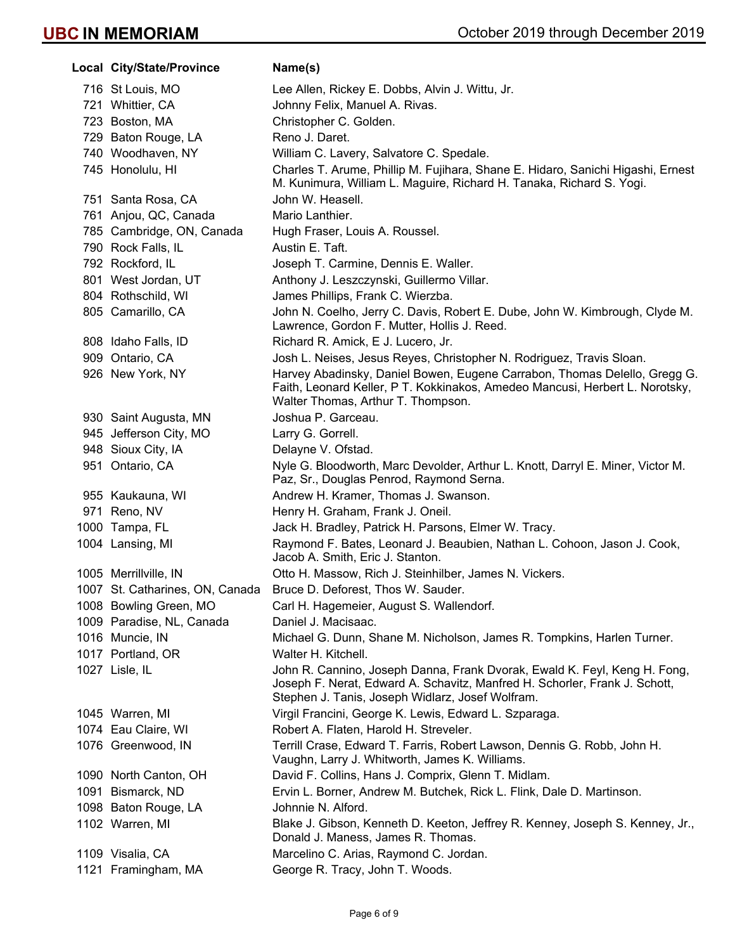| Local City/State/Province       | Name(s)                                                                                                                                                                                                     |
|---------------------------------|-------------------------------------------------------------------------------------------------------------------------------------------------------------------------------------------------------------|
| 716 St Louis, MO                | Lee Allen, Rickey E. Dobbs, Alvin J. Wittu, Jr.                                                                                                                                                             |
| 721 Whittier, CA                | Johnny Felix, Manuel A. Rivas.                                                                                                                                                                              |
| 723 Boston, MA                  | Christopher C. Golden.                                                                                                                                                                                      |
| 729 Baton Rouge, LA             | Reno J. Daret.                                                                                                                                                                                              |
| 740 Woodhaven, NY               | William C. Lavery, Salvatore C. Spedale.                                                                                                                                                                    |
| 745 Honolulu, HI                | Charles T. Arume, Phillip M. Fujihara, Shane E. Hidaro, Sanichi Higashi, Ernest<br>M. Kunimura, William L. Maguire, Richard H. Tanaka, Richard S. Yogi.                                                     |
| 751 Santa Rosa, CA              | John W. Heasell.                                                                                                                                                                                            |
| 761 Anjou, QC, Canada           | Mario Lanthier.                                                                                                                                                                                             |
| 785 Cambridge, ON, Canada       | Hugh Fraser, Louis A. Roussel.                                                                                                                                                                              |
| 790 Rock Falls, IL              | Austin E. Taft.                                                                                                                                                                                             |
| 792 Rockford, IL                | Joseph T. Carmine, Dennis E. Waller.                                                                                                                                                                        |
| 801 West Jordan, UT             | Anthony J. Leszczynski, Guillermo Villar.                                                                                                                                                                   |
| 804 Rothschild, WI              | James Phillips, Frank C. Wierzba.                                                                                                                                                                           |
| 805 Camarillo, CA               | John N. Coelho, Jerry C. Davis, Robert E. Dube, John W. Kimbrough, Clyde M.<br>Lawrence, Gordon F. Mutter, Hollis J. Reed.                                                                                  |
| 808 Idaho Falls, ID             | Richard R. Amick, E J. Lucero, Jr.                                                                                                                                                                          |
| 909 Ontario, CA                 | Josh L. Neises, Jesus Reyes, Christopher N. Rodriguez, Travis Sloan.                                                                                                                                        |
| 926 New York, NY                | Harvey Abadinsky, Daniel Bowen, Eugene Carrabon, Thomas Delello, Gregg G.<br>Faith, Leonard Keller, P T. Kokkinakos, Amedeo Mancusi, Herbert L. Norotsky,<br>Walter Thomas, Arthur T. Thompson.             |
| 930 Saint Augusta, MN           | Joshua P. Garceau.                                                                                                                                                                                          |
| 945 Jefferson City, MO          | Larry G. Gorrell.                                                                                                                                                                                           |
| 948 Sioux City, IA              | Delayne V. Ofstad.                                                                                                                                                                                          |
| 951 Ontario, CA                 | Nyle G. Bloodworth, Marc Devolder, Arthur L. Knott, Darryl E. Miner, Victor M.<br>Paz, Sr., Douglas Penrod, Raymond Serna.                                                                                  |
| 955 Kaukauna, WI                | Andrew H. Kramer, Thomas J. Swanson.                                                                                                                                                                        |
| 971 Reno, NV                    | Henry H. Graham, Frank J. Oneil.                                                                                                                                                                            |
| 1000 Tampa, FL                  | Jack H. Bradley, Patrick H. Parsons, Elmer W. Tracy.                                                                                                                                                        |
| 1004 Lansing, MI                | Raymond F. Bates, Leonard J. Beaubien, Nathan L. Cohoon, Jason J. Cook,<br>Jacob A. Smith, Eric J. Stanton.                                                                                                 |
| 1005 Merrillville, IN           | Otto H. Massow, Rich J. Steinhilber, James N. Vickers.                                                                                                                                                      |
| 1007 St. Catharines, ON, Canada | Bruce D. Deforest, Thos W. Sauder.                                                                                                                                                                          |
| 1008 Bowling Green, MO          | Carl H. Hagemeier, August S. Wallendorf.                                                                                                                                                                    |
| 1009 Paradise, NL, Canada       | Daniel J. Macisaac.                                                                                                                                                                                         |
| 1016 Muncie, IN                 | Michael G. Dunn, Shane M. Nicholson, James R. Tompkins, Harlen Turner.                                                                                                                                      |
| 1017 Portland, OR               | Walter H. Kitchell.                                                                                                                                                                                         |
| 1027 Lisle, IL                  | John R. Cannino, Joseph Danna, Frank Dvorak, Ewald K. Feyl, Keng H. Fong,<br>Joseph F. Nerat, Edward A. Schavitz, Manfred H. Schorler, Frank J. Schott,<br>Stephen J. Tanis, Joseph Widlarz, Josef Wolfram. |
| 1045 Warren, MI                 | Virgil Francini, George K. Lewis, Edward L. Szparaga.                                                                                                                                                       |
| 1074 Eau Claire, WI             | Robert A. Flaten, Harold H. Streveler.                                                                                                                                                                      |
| 1076 Greenwood, IN              | Terrill Crase, Edward T. Farris, Robert Lawson, Dennis G. Robb, John H.<br>Vaughn, Larry J. Whitworth, James K. Williams.                                                                                   |
| 1090 North Canton, OH           | David F. Collins, Hans J. Comprix, Glenn T. Midlam.                                                                                                                                                         |
| 1091 Bismarck, ND               | Ervin L. Borner, Andrew M. Butchek, Rick L. Flink, Dale D. Martinson.                                                                                                                                       |
| 1098 Baton Rouge, LA            | Johnnie N. Alford.                                                                                                                                                                                          |
| 1102 Warren, MI                 | Blake J. Gibson, Kenneth D. Keeton, Jeffrey R. Kenney, Joseph S. Kenney, Jr.,<br>Donald J. Maness, James R. Thomas.                                                                                         |
| 1109 Visalia, CA                | Marcelino C. Arias, Raymond C. Jordan.                                                                                                                                                                      |
| 1121 Framingham, MA             | George R. Tracy, John T. Woods.                                                                                                                                                                             |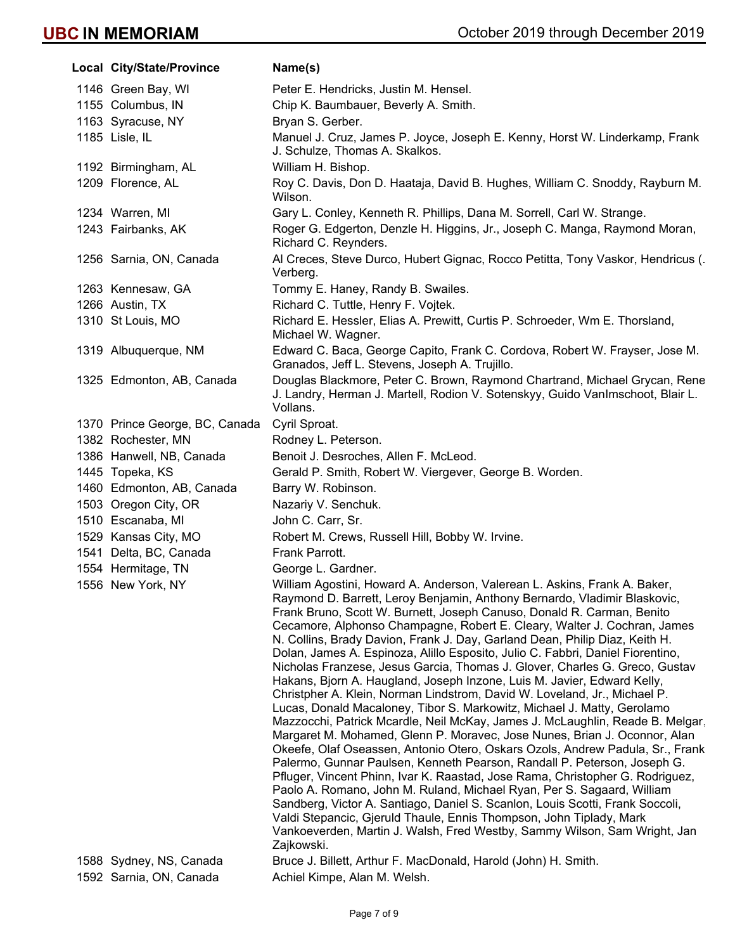| Local City/State/Province                          | Name(s)                                                                                                                                                                                                                                                                                                                                                                                                                                                                                                                                                                                                                                                                                                                                                                                                                                                                                                                                                                                                                                                                                                                                                                                                                                                                                                                                                                                                                                                                                                                                  |
|----------------------------------------------------|------------------------------------------------------------------------------------------------------------------------------------------------------------------------------------------------------------------------------------------------------------------------------------------------------------------------------------------------------------------------------------------------------------------------------------------------------------------------------------------------------------------------------------------------------------------------------------------------------------------------------------------------------------------------------------------------------------------------------------------------------------------------------------------------------------------------------------------------------------------------------------------------------------------------------------------------------------------------------------------------------------------------------------------------------------------------------------------------------------------------------------------------------------------------------------------------------------------------------------------------------------------------------------------------------------------------------------------------------------------------------------------------------------------------------------------------------------------------------------------------------------------------------------------|
| 1146 Green Bay, WI                                 | Peter E. Hendricks, Justin M. Hensel.                                                                                                                                                                                                                                                                                                                                                                                                                                                                                                                                                                                                                                                                                                                                                                                                                                                                                                                                                                                                                                                                                                                                                                                                                                                                                                                                                                                                                                                                                                    |
| 1155 Columbus, IN                                  | Chip K. Baumbauer, Beverly A. Smith.                                                                                                                                                                                                                                                                                                                                                                                                                                                                                                                                                                                                                                                                                                                                                                                                                                                                                                                                                                                                                                                                                                                                                                                                                                                                                                                                                                                                                                                                                                     |
| 1163 Syracuse, NY                                  | Bryan S. Gerber.                                                                                                                                                                                                                                                                                                                                                                                                                                                                                                                                                                                                                                                                                                                                                                                                                                                                                                                                                                                                                                                                                                                                                                                                                                                                                                                                                                                                                                                                                                                         |
| 1185 Lisle, IL                                     | Manuel J. Cruz, James P. Joyce, Joseph E. Kenny, Horst W. Linderkamp, Frank<br>J. Schulze, Thomas A. Skalkos.                                                                                                                                                                                                                                                                                                                                                                                                                                                                                                                                                                                                                                                                                                                                                                                                                                                                                                                                                                                                                                                                                                                                                                                                                                                                                                                                                                                                                            |
| 1192 Birmingham, AL                                | William H. Bishop.                                                                                                                                                                                                                                                                                                                                                                                                                                                                                                                                                                                                                                                                                                                                                                                                                                                                                                                                                                                                                                                                                                                                                                                                                                                                                                                                                                                                                                                                                                                       |
| 1209 Florence, AL                                  | Roy C. Davis, Don D. Haataja, David B. Hughes, William C. Snoddy, Rayburn M.<br>Wilson.                                                                                                                                                                                                                                                                                                                                                                                                                                                                                                                                                                                                                                                                                                                                                                                                                                                                                                                                                                                                                                                                                                                                                                                                                                                                                                                                                                                                                                                  |
| 1234 Warren, MI                                    | Gary L. Conley, Kenneth R. Phillips, Dana M. Sorrell, Carl W. Strange.                                                                                                                                                                                                                                                                                                                                                                                                                                                                                                                                                                                                                                                                                                                                                                                                                                                                                                                                                                                                                                                                                                                                                                                                                                                                                                                                                                                                                                                                   |
| 1243 Fairbanks, AK                                 | Roger G. Edgerton, Denzle H. Higgins, Jr., Joseph C. Manga, Raymond Moran,<br>Richard C. Reynders.                                                                                                                                                                                                                                                                                                                                                                                                                                                                                                                                                                                                                                                                                                                                                                                                                                                                                                                                                                                                                                                                                                                                                                                                                                                                                                                                                                                                                                       |
| 1256 Sarnia, ON, Canada                            | Al Creces, Steve Durco, Hubert Gignac, Rocco Petitta, Tony Vaskor, Hendricus (.<br>Verberg.                                                                                                                                                                                                                                                                                                                                                                                                                                                                                                                                                                                                                                                                                                                                                                                                                                                                                                                                                                                                                                                                                                                                                                                                                                                                                                                                                                                                                                              |
| 1263 Kennesaw, GA                                  | Tommy E. Haney, Randy B. Swailes.                                                                                                                                                                                                                                                                                                                                                                                                                                                                                                                                                                                                                                                                                                                                                                                                                                                                                                                                                                                                                                                                                                                                                                                                                                                                                                                                                                                                                                                                                                        |
| 1266 Austin, TX                                    | Richard C. Tuttle, Henry F. Vojtek.                                                                                                                                                                                                                                                                                                                                                                                                                                                                                                                                                                                                                                                                                                                                                                                                                                                                                                                                                                                                                                                                                                                                                                                                                                                                                                                                                                                                                                                                                                      |
| 1310 St Louis, MO                                  | Richard E. Hessler, Elias A. Prewitt, Curtis P. Schroeder, Wm E. Thorsland,<br>Michael W. Wagner.                                                                                                                                                                                                                                                                                                                                                                                                                                                                                                                                                                                                                                                                                                                                                                                                                                                                                                                                                                                                                                                                                                                                                                                                                                                                                                                                                                                                                                        |
| 1319 Albuquerque, NM                               | Edward C. Baca, George Capito, Frank C. Cordova, Robert W. Frayser, Jose M.<br>Granados, Jeff L. Stevens, Joseph A. Trujillo.                                                                                                                                                                                                                                                                                                                                                                                                                                                                                                                                                                                                                                                                                                                                                                                                                                                                                                                                                                                                                                                                                                                                                                                                                                                                                                                                                                                                            |
| 1325 Edmonton, AB, Canada                          | Douglas Blackmore, Peter C. Brown, Raymond Chartrand, Michael Grycan, Rene<br>J. Landry, Herman J. Martell, Rodion V. Sotenskyy, Guido VanImschoot, Blair L.<br>Vollans.                                                                                                                                                                                                                                                                                                                                                                                                                                                                                                                                                                                                                                                                                                                                                                                                                                                                                                                                                                                                                                                                                                                                                                                                                                                                                                                                                                 |
| 1370 Prince George, BC, Canada                     | Cyril Sproat.                                                                                                                                                                                                                                                                                                                                                                                                                                                                                                                                                                                                                                                                                                                                                                                                                                                                                                                                                                                                                                                                                                                                                                                                                                                                                                                                                                                                                                                                                                                            |
| 1382 Rochester, MN                                 | Rodney L. Peterson.                                                                                                                                                                                                                                                                                                                                                                                                                                                                                                                                                                                                                                                                                                                                                                                                                                                                                                                                                                                                                                                                                                                                                                                                                                                                                                                                                                                                                                                                                                                      |
| 1386 Hanwell, NB, Canada                           | Benoit J. Desroches, Allen F. McLeod.                                                                                                                                                                                                                                                                                                                                                                                                                                                                                                                                                                                                                                                                                                                                                                                                                                                                                                                                                                                                                                                                                                                                                                                                                                                                                                                                                                                                                                                                                                    |
| 1445 Topeka, KS                                    | Gerald P. Smith, Robert W. Viergever, George B. Worden.                                                                                                                                                                                                                                                                                                                                                                                                                                                                                                                                                                                                                                                                                                                                                                                                                                                                                                                                                                                                                                                                                                                                                                                                                                                                                                                                                                                                                                                                                  |
| 1460 Edmonton, AB, Canada                          | Barry W. Robinson.                                                                                                                                                                                                                                                                                                                                                                                                                                                                                                                                                                                                                                                                                                                                                                                                                                                                                                                                                                                                                                                                                                                                                                                                                                                                                                                                                                                                                                                                                                                       |
| 1503 Oregon City, OR                               | Nazariy V. Senchuk.                                                                                                                                                                                                                                                                                                                                                                                                                                                                                                                                                                                                                                                                                                                                                                                                                                                                                                                                                                                                                                                                                                                                                                                                                                                                                                                                                                                                                                                                                                                      |
| 1510 Escanaba, MI                                  | John C. Carr, Sr.                                                                                                                                                                                                                                                                                                                                                                                                                                                                                                                                                                                                                                                                                                                                                                                                                                                                                                                                                                                                                                                                                                                                                                                                                                                                                                                                                                                                                                                                                                                        |
| 1529 Kansas City, MO                               | Robert M. Crews, Russell Hill, Bobby W. Irvine.                                                                                                                                                                                                                                                                                                                                                                                                                                                                                                                                                                                                                                                                                                                                                                                                                                                                                                                                                                                                                                                                                                                                                                                                                                                                                                                                                                                                                                                                                          |
| 1541 Delta, BC, Canada                             | Frank Parrott.                                                                                                                                                                                                                                                                                                                                                                                                                                                                                                                                                                                                                                                                                                                                                                                                                                                                                                                                                                                                                                                                                                                                                                                                                                                                                                                                                                                                                                                                                                                           |
| 1554 Hermitage, TN                                 | George L. Gardner.                                                                                                                                                                                                                                                                                                                                                                                                                                                                                                                                                                                                                                                                                                                                                                                                                                                                                                                                                                                                                                                                                                                                                                                                                                                                                                                                                                                                                                                                                                                       |
| 1556 New York, NY                                  | William Agostini, Howard A. Anderson, Valerean L. Askins, Frank A. Baker,<br>Raymond D. Barrett, Leroy Benjamin, Anthony Bernardo, Vladimir Blaskovic,<br>Frank Bruno, Scott W. Burnett, Joseph Canuso, Donald R. Carman, Benito<br>Cecamore, Alphonso Champagne, Robert E. Cleary, Walter J. Cochran, James<br>N. Collins, Brady Davion, Frank J. Day, Garland Dean, Philip Diaz, Keith H.<br>Dolan, James A. Espinoza, Alillo Esposito, Julio C. Fabbri, Daniel Fiorentino,<br>Nicholas Franzese, Jesus Garcia, Thomas J. Glover, Charles G. Greco, Gustav<br>Hakans, Bjorn A. Haugland, Joseph Inzone, Luis M. Javier, Edward Kelly,<br>Christpher A. Klein, Norman Lindstrom, David W. Loveland, Jr., Michael P.<br>Lucas, Donald Macaloney, Tibor S. Markowitz, Michael J. Matty, Gerolamo<br>Mazzocchi, Patrick Mcardle, Neil McKay, James J. McLaughlin, Reade B. Melgar,<br>Margaret M. Mohamed, Glenn P. Moravec, Jose Nunes, Brian J. Oconnor, Alan<br>Okeefe, Olaf Oseassen, Antonio Otero, Oskars Ozols, Andrew Padula, Sr., Frank<br>Palermo, Gunnar Paulsen, Kenneth Pearson, Randall P. Peterson, Joseph G.<br>Pfluger, Vincent Phinn, Ivar K. Raastad, Jose Rama, Christopher G. Rodriguez,<br>Paolo A. Romano, John M. Ruland, Michael Ryan, Per S. Sagaard, William<br>Sandberg, Victor A. Santiago, Daniel S. Scanlon, Louis Scotti, Frank Soccoli,<br>Valdi Stepancic, Gjeruld Thaule, Ennis Thompson, John Tiplady, Mark<br>Vankoeverden, Martin J. Walsh, Fred Westby, Sammy Wilson, Sam Wright, Jan<br>Zajkowski. |
| 1588 Sydney, NS, Canada<br>1592 Sarnia, ON, Canada | Bruce J. Billett, Arthur F. MacDonald, Harold (John) H. Smith.<br>Achiel Kimpe, Alan M. Welsh.                                                                                                                                                                                                                                                                                                                                                                                                                                                                                                                                                                                                                                                                                                                                                                                                                                                                                                                                                                                                                                                                                                                                                                                                                                                                                                                                                                                                                                           |
|                                                    |                                                                                                                                                                                                                                                                                                                                                                                                                                                                                                                                                                                                                                                                                                                                                                                                                                                                                                                                                                                                                                                                                                                                                                                                                                                                                                                                                                                                                                                                                                                                          |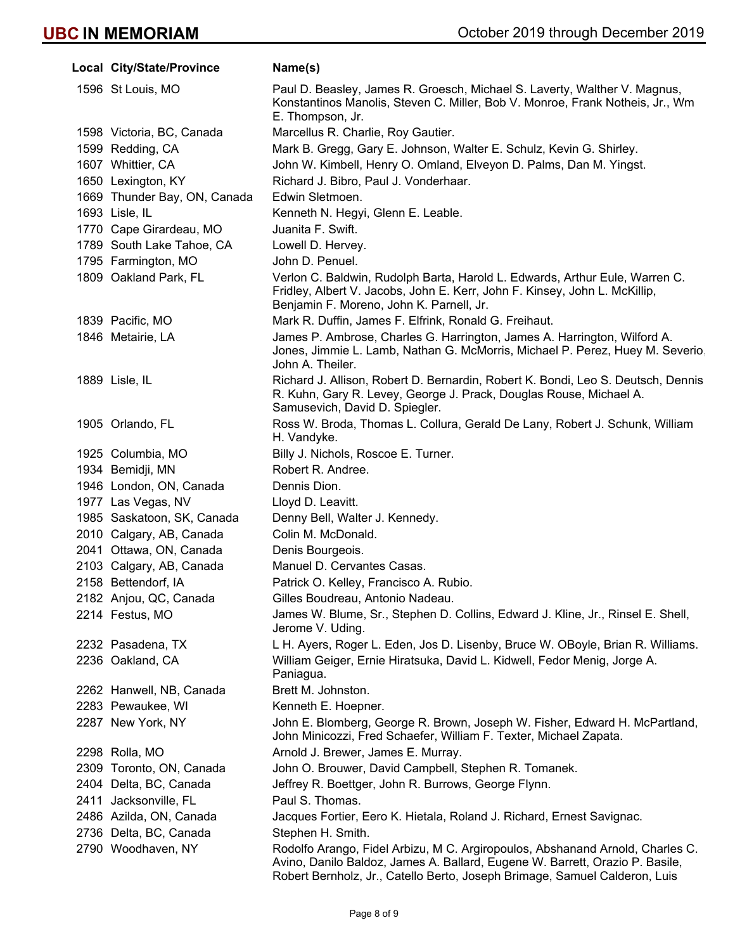| Local City/State/Province    | Name(s)                                                                                                                                                                                                                                     |
|------------------------------|---------------------------------------------------------------------------------------------------------------------------------------------------------------------------------------------------------------------------------------------|
| 1596 St Louis, MO            | Paul D. Beasley, James R. Groesch, Michael S. Laverty, Walther V. Magnus,<br>Konstantinos Manolis, Steven C. Miller, Bob V. Monroe, Frank Notheis, Jr., Wm<br>E. Thompson, Jr.                                                              |
| 1598 Victoria, BC, Canada    | Marcellus R. Charlie, Roy Gautier.                                                                                                                                                                                                          |
| 1599 Redding, CA             | Mark B. Gregg, Gary E. Johnson, Walter E. Schulz, Kevin G. Shirley.                                                                                                                                                                         |
| 1607 Whittier, CA            | John W. Kimbell, Henry O. Omland, Elveyon D. Palms, Dan M. Yingst.                                                                                                                                                                          |
| 1650 Lexington, KY           | Richard J. Bibro, Paul J. Vonderhaar.                                                                                                                                                                                                       |
| 1669 Thunder Bay, ON, Canada | Edwin Sletmoen.                                                                                                                                                                                                                             |
| 1693 Lisle, IL               | Kenneth N. Hegyi, Glenn E. Leable.                                                                                                                                                                                                          |
| 1770 Cape Girardeau, MO      | Juanita F. Swift.                                                                                                                                                                                                                           |
| 1789 South Lake Tahoe, CA    | Lowell D. Hervey.                                                                                                                                                                                                                           |
| 1795 Farmington, MO          | John D. Penuel.                                                                                                                                                                                                                             |
| 1809 Oakland Park, FL        | Verlon C. Baldwin, Rudolph Barta, Harold L. Edwards, Arthur Eule, Warren C.<br>Fridley, Albert V. Jacobs, John E. Kerr, John F. Kinsey, John L. McKillip,<br>Benjamin F. Moreno, John K. Parnell, Jr.                                       |
| 1839 Pacific, MO             | Mark R. Duffin, James F. Elfrink, Ronald G. Freihaut.                                                                                                                                                                                       |
| 1846 Metairie, LA            | James P. Ambrose, Charles G. Harrington, James A. Harrington, Wilford A.<br>Jones, Jimmie L. Lamb, Nathan G. McMorris, Michael P. Perez, Huey M. Severio.<br>John A. Theiler.                                                               |
| 1889 Lisle, IL               | Richard J. Allison, Robert D. Bernardin, Robert K. Bondi, Leo S. Deutsch, Dennis<br>R. Kuhn, Gary R. Levey, George J. Prack, Douglas Rouse, Michael A.<br>Samusevich, David D. Spiegler.                                                    |
| 1905 Orlando, FL             | Ross W. Broda, Thomas L. Collura, Gerald De Lany, Robert J. Schunk, William<br>H. Vandyke.                                                                                                                                                  |
| 1925 Columbia, MO            | Billy J. Nichols, Roscoe E. Turner.                                                                                                                                                                                                         |
| 1934 Bemidji, MN             | Robert R. Andree.                                                                                                                                                                                                                           |
| 1946 London, ON, Canada      | Dennis Dion.                                                                                                                                                                                                                                |
| 1977 Las Vegas, NV           | Lloyd D. Leavitt.                                                                                                                                                                                                                           |
| 1985 Saskatoon, SK, Canada   | Denny Bell, Walter J. Kennedy.                                                                                                                                                                                                              |
| 2010 Calgary, AB, Canada     | Colin M. McDonald.                                                                                                                                                                                                                          |
| 2041 Ottawa, ON, Canada      | Denis Bourgeois.                                                                                                                                                                                                                            |
| 2103 Calgary, AB, Canada     | Manuel D. Cervantes Casas.                                                                                                                                                                                                                  |
| 2158 Bettendorf, IA          | Patrick O. Kelley, Francisco A. Rubio.                                                                                                                                                                                                      |
| 2182 Anjou, QC, Canada       | Gilles Boudreau, Antonio Nadeau.                                                                                                                                                                                                            |
| 2214 Festus, MO              | James W. Blume, Sr., Stephen D. Collins, Edward J. Kline, Jr., Rinsel E. Shell,<br>Jerome V. Uding.                                                                                                                                         |
| 2232 Pasadena, TX            | L H. Ayers, Roger L. Eden, Jos D. Lisenby, Bruce W. OBoyle, Brian R. Williams.                                                                                                                                                              |
| 2236 Oakland, CA             | William Geiger, Ernie Hiratsuka, David L. Kidwell, Fedor Menig, Jorge A.<br>Paniagua.                                                                                                                                                       |
| 2262 Hanwell, NB, Canada     | Brett M. Johnston.                                                                                                                                                                                                                          |
| 2283 Pewaukee, WI            | Kenneth E. Hoepner.                                                                                                                                                                                                                         |
| 2287 New York, NY            | John E. Blomberg, George R. Brown, Joseph W. Fisher, Edward H. McPartland,<br>John Minicozzi, Fred Schaefer, William F. Texter, Michael Zapata.                                                                                             |
| 2298 Rolla, MO               | Arnold J. Brewer, James E. Murray.                                                                                                                                                                                                          |
| 2309 Toronto, ON, Canada     | John O. Brouwer, David Campbell, Stephen R. Tomanek.                                                                                                                                                                                        |
| 2404 Delta, BC, Canada       | Jeffrey R. Boettger, John R. Burrows, George Flynn.                                                                                                                                                                                         |
| 2411 Jacksonville, FL        | Paul S. Thomas.                                                                                                                                                                                                                             |
| 2486 Azilda, ON, Canada      | Jacques Fortier, Eero K. Hietala, Roland J. Richard, Ernest Savignac.                                                                                                                                                                       |
| 2736 Delta, BC, Canada       | Stephen H. Smith.                                                                                                                                                                                                                           |
| 2790 Woodhaven, NY           | Rodolfo Arango, Fidel Arbizu, M C. Argiropoulos, Abshanand Arnold, Charles C.<br>Avino, Danilo Baldoz, James A. Ballard, Eugene W. Barrett, Orazio P. Basile,<br>Robert Bernholz, Jr., Catello Berto, Joseph Brimage, Samuel Calderon, Luis |